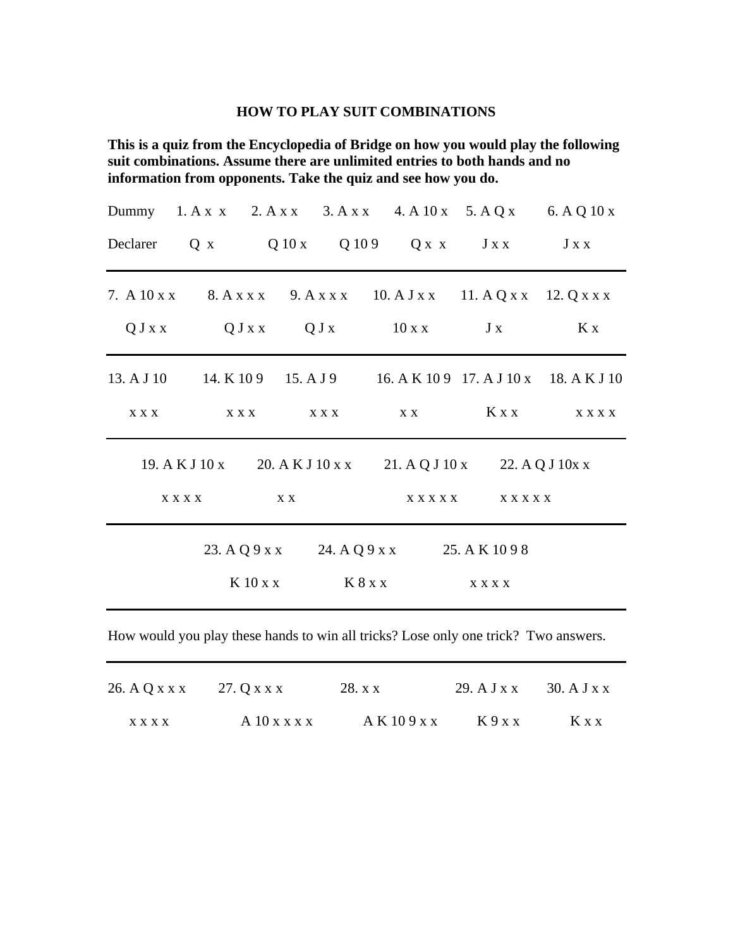## **HOW TO PLAY SUIT COMBINATIONS**

**This is a quiz from the Encyclopedia of Bridge on how you would play the following suit combinations. Assume there are unlimited entries to both hands and no information from opponents. Take the quiz and see how you do.**

|             |  |                           |         |                                            |                                                                       | Dummy 1. A x x 2. A x x 3. A x x 4. A 10 x 5. A Q x 6. A Q 10 x |
|-------------|--|---------------------------|---------|--------------------------------------------|-----------------------------------------------------------------------|-----------------------------------------------------------------|
| Declarer    |  |                           |         |                                            | $Q \times Q 10 \times Q 109$ $Q \times X$ $J \times X$ $J \times X$   |                                                                 |
|             |  |                           |         |                                            | 7. A 10 x x 8. A x x x 9. A x x x 10. A J x x 11. A Q x x 12. Q x x x |                                                                 |
|             |  |                           |         | $QJxx$ $QJxx$ $QJx$ $10xx$ $Jx$            |                                                                       | Kx                                                              |
| 13. A J 10  |  |                           |         |                                            |                                                                       | 14. K 109 15. A J 9 16. A K 109 17. A J 10 x 18. A K J 10       |
| X X X       |  | $X \times X$ $X \times X$ |         | X X                                        | $K \times X$                                                          | <b>XXXX</b>                                                     |
|             |  |                           |         |                                            | 19. A K J 10 x 20. A K J 10 x x 21. A Q J 10 x 22. A Q J 10 x x       |                                                                 |
| <b>XXXX</b> |  | X X                       |         | X X X X X X X X X X X                      |                                                                       |                                                                 |
|             |  |                           |         | 23. A Q 9 x x 24. A Q 9 x x 25. A K 10 9 8 |                                                                       |                                                                 |
|             |  | $K$ 10 x x                | K 8 x x |                                            | <b>XXXX</b>                                                           |                                                                 |

How would you play these hands to win all tricks? Lose only one trick? Two answers.

| 26. A Q x x x 27. Q x x x |                | 28. x x      |      | 29. $A J x x$ 30. $A J x x$ |
|---------------------------|----------------|--------------|------|-----------------------------|
| <b>XXXX</b>               | $A$ 10 x x x x | A K 10 9 x x | K9xx | K x x                       |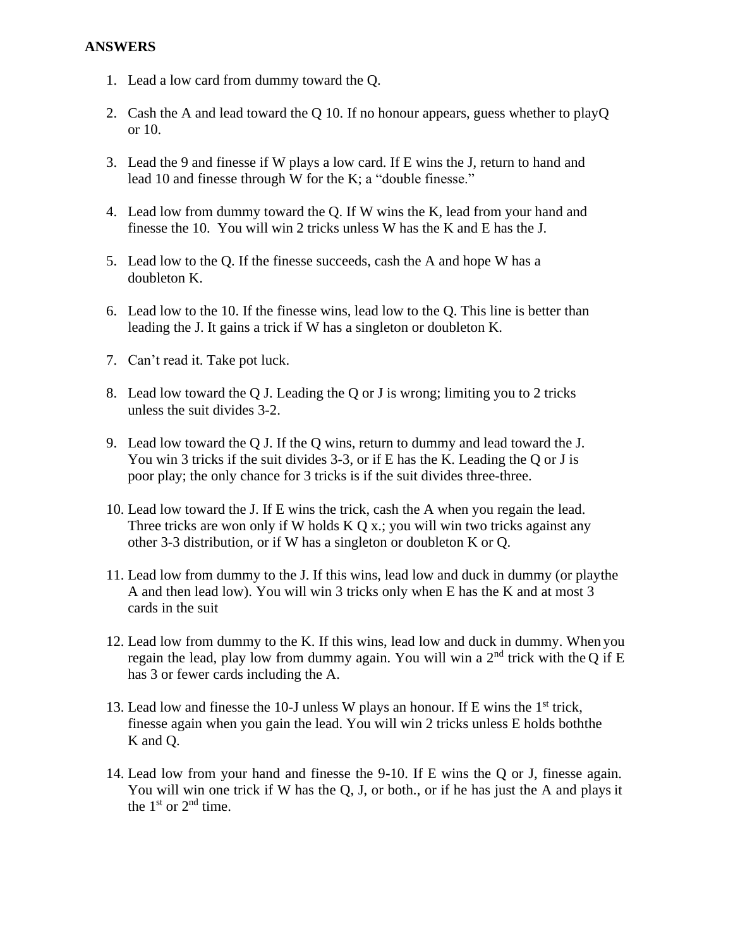- 1. Lead a low card from dummy toward the Q.
- 2. Cash the A and lead toward the Q 10. If no honour appears, guess whether to playQ or 10.
- 3. Lead the 9 and finesse if W plays a low card. If E wins the J, return to hand and lead 10 and finesse through W for the K; a "double finesse."
- 4. Lead low from dummy toward the Q. If W wins the K, lead from your hand and finesse the 10. You will win 2 tricks unless W has the K and E has the J.
- 5. Lead low to the Q. If the finesse succeeds, cash the A and hope W has a doubleton K.
- 6. Lead low to the 10. If the finesse wins, lead low to the Q. This line is better than leading the J. It gains a trick if W has a singleton or doubleton K.
- 7. Can't read it. Take pot luck.
- 8. Lead low toward the Q J. Leading the Q or J is wrong; limiting you to 2 tricks unless the suit divides 3-2.
- 9. Lead low toward the Q J. If the Q wins, return to dummy and lead toward the J. You win 3 tricks if the suit divides 3-3, or if E has the K. Leading the Q or J is poor play; the only chance for 3 tricks is if the suit divides three-three.
- 10. Lead low toward the J. If E wins the trick, cash the A when you regain the lead. Three tricks are won only if W holds K Q x.; you will win two tricks against any other 3-3 distribution, or if W has a singleton or doubleton K or Q.
- 11. Lead low from dummy to the J. If this wins, lead low and duck in dummy (or playthe A and then lead low). You will win 3 tricks only when E has the K and at most 3 cards in the suit
- 12. Lead low from dummy to the K. If this wins, lead low and duck in dummy. When you regain the lead, play low from dummy again. You will win a  $2<sup>nd</sup>$  trick with the Q if E has 3 or fewer cards including the A.
- 13. Lead low and finesse the 10-J unless W plays an honour. If E wins the 1st trick, finesse again when you gain the lead. You will win 2 tricks unless E holds boththe K and Q.
- 14. Lead low from your hand and finesse the 9-10. If E wins the Q or J, finesse again. You will win one trick if W has the Q, J, or both., or if he has just the A and plays it the  $1<sup>st</sup>$  or  $2<sup>nd</sup>$  time.